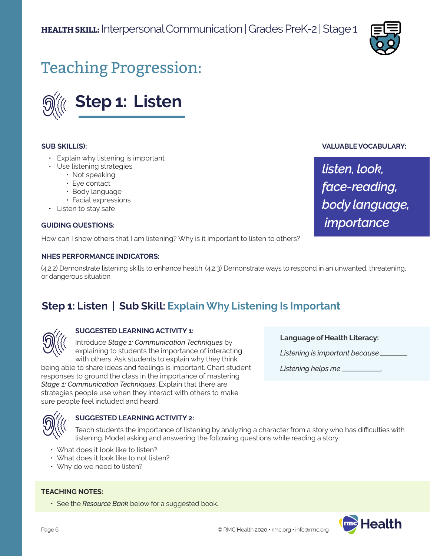

**VALUABLE VOCABULARY:**

*listen, look,* 

*face-reading,* 

 *importance*

*body language,*

# Teaching Progression:



#### **SUB SKILL(S):**

- Explain why listening is important
- Use listening strategies
	- Not speaking
	- Eye contact
	- Body language
	- Facial expressions
- Listen to stay safe

#### **GUIDING QUESTIONS:**

How can I show others that I am listening? Why is it important to listen to others?

#### **NHES PERFORMANCE INDICATORS:**

(4.2.2) Demonstrate listening skills to enhance health. (4.2.3) Demonstrate ways to respond in an unwanted, threatening, or dangerous situation.

## **Step 1: Listen | Sub Skill: Explain Why Listening Is Important**



#### **SUGGESTED LEARNING ACTIVITY 1:**

Introduce *Stage 1: Communication Techniques* by explaining to students the importance of interacting with others. Ask students to explain why they think

being able to share ideas and feelings is important. Chart student responses to ground the class in the importance of mastering *Stage 1: Communication Techniques*. Explain that there are strategies people use when they interact with others to make sure people feel included and heard.

#### **SUGGESTED LEARNING ACTIVITY 2:**

Teach students the importance of listening by analyzing a character from a story who has difficulties with listening. Model asking and answering the following questions while reading a story:

- What does it look like to listen?
- What does it look like to not listen?
- Why do we need to listen?

#### **TEACHING NOTES:**

• See the *Resource Bank* below for a suggested book.

**Language of Health Literacy:**

*Listening is important because* .

*Listening helps me* .

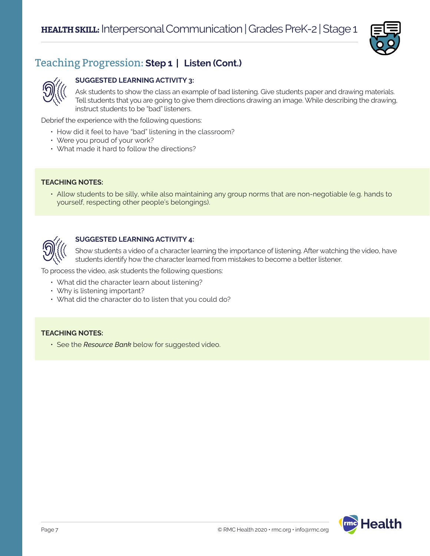

## Teaching Progression: **Step 1 | Listen (Cont.)**

### **SUGGESTED LEARNING ACTIVITY 3:**

Ask students to show the class an example of bad listening. Give students paper and drawing materials. Tell students that you are going to give them directions drawing an image. While describing the drawing, instruct students to be "bad" listeners.

Debrief the experience with the following questions:

- How did it feel to have "bad" listening in the classroom?
- Were you proud of your work?
- What made it hard to follow the directions?

#### **TEACHING NOTES:**

• Allow students to be silly, while also maintaining any group norms that are non-negotiable (e.g. hands to yourself, respecting other people's belongings).



#### **SUGGESTED LEARNING ACTIVITY 4:**

Show students a video of a character learning the importance of listening. After watching the video, have students identify how the character learned from mistakes to become a better listener.

To process the video, ask students the following questions:

- What did the character learn about listening?
- Why is listening important?
- What did the character do to listen that you could do?

#### **TEACHING NOTES:**

• See the *Resource Bank* below for suggested video.

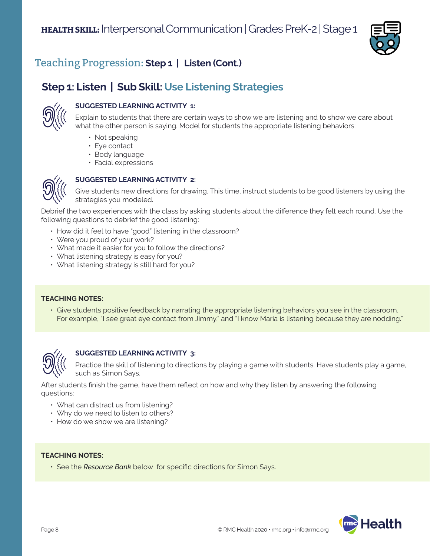

## Teaching Progression: **Step 1 | Listen (Cont.)**

## **Step 1: Listen | Sub Skill: Use Listening Strategies**



#### **SUGGESTED LEARNING ACTIVITY 1:**

Explain to students that there are certain ways to show we are listening and to show we care about what the other person is saying. Model for students the appropriate listening behaviors:

- Not speaking
- Eye contact
- Body language
- Facial expressions



#### **SUGGESTED LEARNING ACTIVITY 2:**

Give students new directions for drawing. This time, instruct students to be good listeners by using the strategies you modeled.

Debrief the two experiences with the class by asking students about the difference they felt each round. Use the following questions to debrief the good listening:

- How did it feel to have "good" listening in the classroom?
- Were you proud of your work?
- What made it easier for you to follow the directions?
- What listening strategy is easy for you?
- What listening strategy is still hard for you?

#### **TEACHING NOTES:**

• Give students positive feedback by narrating the appropriate listening behaviors you see in the classroom. For example, "I see great eye contact from Jimmy," and "I know Maria is listening because they are nodding."



#### **SUGGESTED LEARNING ACTIVITY 3:**

Practice the skill of listening to directions by playing a game with students. Have students play a game, such as Simon Says.

After students finish the game, have them reflect on how and why they listen by answering the following questions:

- What can distract us from listening?
- Why do we need to listen to others?
- How do we show we are listening?

#### **TEACHING NOTES:**

• See the *Resource Bank* below for specific directions for Simon Says.